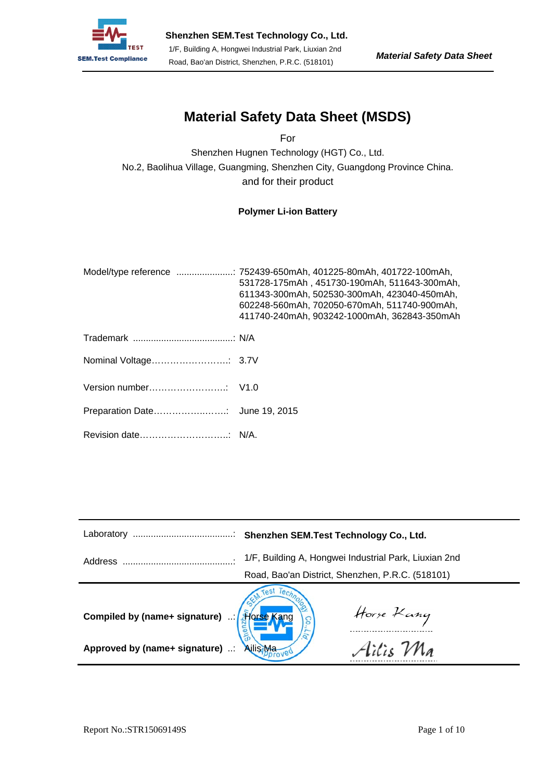

# **Material Safety Data Sheet (MSDS)**

For

Shenzhen Hugnen Technology (HGT) Co., Ltd. No.2, Baolihua Village, Guangming, Shenzhen City, Guangdong Province China. and for their product

## **Polymer Li-ion Battery**

| Model/type reference  752439-650mAh, 401225-80mAh, 401722-100mAh,<br>531728-175mAh, 451730-190mAh, 511643-300mAh,<br>611343-300mAh, 502530-300mAh, 423040-450mAh,<br>602248-560mAh, 702050-670mAh, 511740-900mAh,<br>411740-240mAh, 903242-1000mAh, 362843-350mAh |
|-------------------------------------------------------------------------------------------------------------------------------------------------------------------------------------------------------------------------------------------------------------------|
|                                                                                                                                                                                                                                                                   |
|                                                                                                                                                                                                                                                                   |
|                                                                                                                                                                                                                                                                   |
|                                                                                                                                                                                                                                                                   |
|                                                                                                                                                                                                                                                                   |

| Laboratory                                                                 |                                                                                                           |  |  |
|----------------------------------------------------------------------------|-----------------------------------------------------------------------------------------------------------|--|--|
| Address                                                                    | 1/F, Building A, Hongwei Industrial Park, Liuxian 2nd<br>Road, Bao'an District, Shenzhen, P.R.C. (518101) |  |  |
| Compiled by (name+ signature) : 30se html<br>Approved by (name+ signature) | Horse Kang<br>Ailis Ma<br><b>Ailis Ma</b>                                                                 |  |  |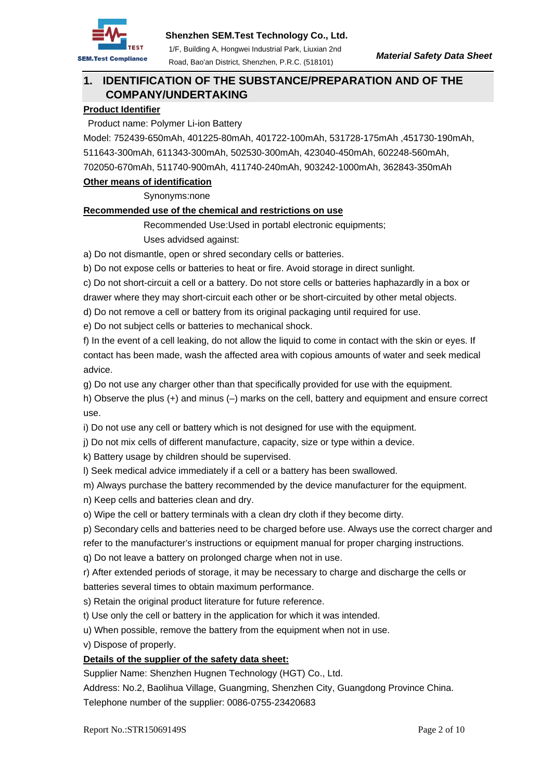

## **1. IDENTIFICATION OF THE SUBSTANCE/PREPARATION AND OF THE COMPANY/UNDERTAKING**

## **Product Identifier**

Product name: Polymer Li-ion Battery

Model: 752439-650mAh, 401225-80mAh, 401722-100mAh, 531728-175mAh ,451730-190mAh, 511643-300mAh, 611343-300mAh, 502530-300mAh, 423040-450mAh, 602248-560mAh, 702050-670mAh, 511740-900mAh, 411740-240mAh, 903242-1000mAh, 362843-350mAh

### **Other means of identification**

Synonyms:none

### **Recommended use of the chemical and restrictions on use**

Recommended Use:Used in portabl electronic equipments;

### Uses advidsed against:

a) Do not dismantle, open or shred secondary cells or batteries.

b) Do not expose cells or batteries to heat or fire. Avoid storage in direct sunlight.

c) Do not short-circuit a cell or a battery. Do not store cells or batteries haphazardly in a box or

drawer where they may short-circuit each other or be short-circuited by other metal objects.

d) Do not remove a cell or battery from its original packaging until required for use.

e) Do not subject cells or batteries to mechanical shock.

f) In the event of a cell leaking, do not allow the liquid to come in contact with the skin or eyes. If contact has been made, wash the affected area with copious amounts of water and seek medical advice.

g) Do not use any charger other than that specifically provided for use with the equipment.

h) Observe the plus (+) and minus (–) marks on the cell, battery and equipment and ensure correct use.

i) Do not use any cell or battery which is not designed for use with the equipment.

j) Do not mix cells of different manufacture, capacity, size or type within a device.

k) Battery usage by children should be supervised.

l) Seek medical advice immediately if a cell or a battery has been swallowed.

m) Always purchase the battery recommended by the device manufacturer for the equipment.

n) Keep cells and batteries clean and dry.

o) Wipe the cell or battery terminals with a clean dry cloth if they become dirty.

p) Secondary cells and batteries need to be charged before use. Always use the correct charger and

refer to the manufacturer's instructions or equipment manual for proper charging instructions.

q) Do not leave a battery on prolonged charge when not in use.

r) After extended periods of storage, it may be necessary to charge and discharge the cells or batteries several times to obtain maximum performance.

s) Retain the original product literature for future reference.

t) Use only the cell or battery in the application for which it was intended.

u) When possible, remove the battery from the equipment when not in use.

v) Dispose of properly.

## **Details of the supplier of the safety data sheet:**

Supplier Name: Shenzhen Hugnen Technology (HGT) Co., Ltd.

Address: No.2, Baolihua Village, Guangming, Shenzhen City, Guangdong Province China. Telephone number of the supplier: 0086-0755-23420683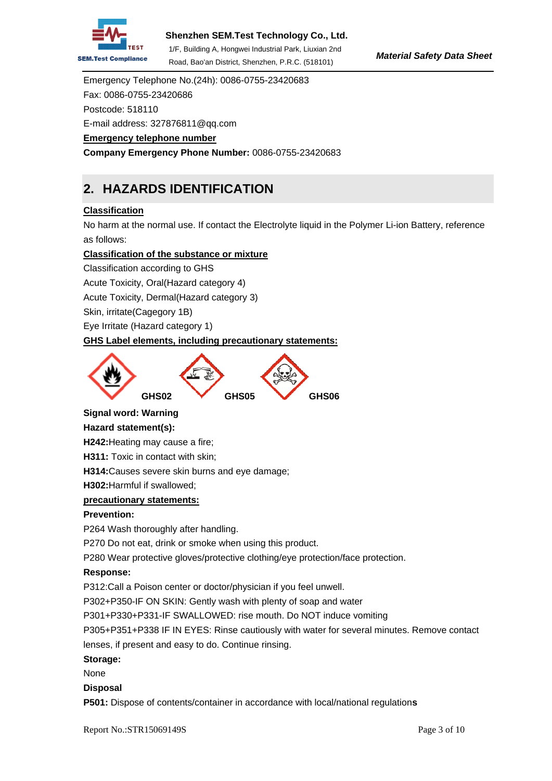

## **Shenzhen SEM.Test Technology Co., Ltd.**

1/F, Building A, Hongwei Industrial Park, Liuxian 2nd Road, Bao'an District, Shenzhen, P.R.C. (518101)

Emergency Telephone No.(24h): 0086-0755-23420683 Fax: 0086-0755-23420686 Postcode: 518110 E-mail address: 327876811@qq.com **Emergency telephone number**

**Company Emergency Phone Number:** 0086-0755-23420683

## **2. HAZARDS IDENTIFICATION**

### **Classification**

No harm at the normal use. If contact the Electrolyte liquid in the Polymer Li-ion Battery, reference as follows:

#### **Classification of the substance or mixture**

Classification according to GHS

Acute Toxicity, Oral(Hazard category 4)

Acute Toxicity, Dermal(Hazard category 3)

Skin, irritate(Cagegory 1B)

Eye Irritate (Hazard category 1)

#### **GHS Label elements, including precautionary statements:**



#### **Signal word: Warning**

#### **Hazard statement(s):**

**H242:**Heating may cause a fire;

**H311:** Toxic in contact with skin;

**H314:**Causes severe skin burns and eye damage;

**H302:**Harmful if swallowed;

#### **precautionary statements:**

#### **Prevention:**

P264 Wash thoroughly after handling.

P270 Do not eat, drink or smoke when using this product.

P280 Wear protective gloves/protective clothing/eye protection/face protection.

#### **Response:**

P312:Call a Poison center or doctor/physician if you feel unwell.

P302+P350-IF ON SKIN: Gently wash with plenty of soap and water

P301+P330+P331-IF SWALLOWED: rise mouth. Do NOT induce vomiting

P305+P351+P338 IF IN EYES: Rinse cautiously with water for several minutes. Remove contact lenses, if present and easy to do. Continue rinsing.

#### **Storage:**

None

#### **Disposal**

**P501:** Dispose of contents/container in accordance with local/national regulation**s**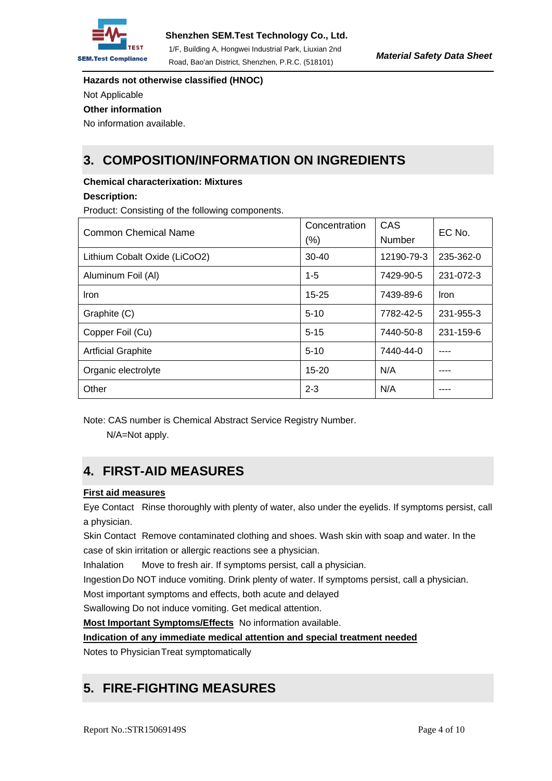

**Hazards not otherwise classified (HNOC)**  Not Applicable

**Other information** 

No information available.

## **3. COMPOSITION/INFORMATION ON INGREDIENTS**

### **Chemical characterixation: Mixtures**

### **Description:**

Product: Consisting of the following components.

| Common Chemical Name          | Concentration<br>$(\% )$ | CAS<br>Number | EC No.      |
|-------------------------------|--------------------------|---------------|-------------|
| Lithium Cobalt Oxide (LiCoO2) | $30 - 40$                | 12190-79-3    | 235-362-0   |
| Aluminum Foil (Al)            | $1 - 5$                  | 7429-90-5     | 231-072-3   |
| <b>Iron</b>                   | $15 - 25$                | 7439-89-6     | <b>Iron</b> |
| Graphite (C)                  | $5-10$                   | 7782-42-5     | 231-955-3   |
| Copper Foil (Cu)              | $5 - 15$                 | 7440-50-8     | 231-159-6   |
| <b>Artficial Graphite</b>     | $5 - 10$                 | 7440-44-0     |             |
| Organic electrolyte           | $15 - 20$                | N/A           |             |
| Other                         | $2 - 3$                  | N/A           |             |

Note: CAS number is Chemical Abstract Service Registry Number.

N/A=Not apply.

# **4. FIRST-AID MEASURES**

## **First aid measures**

Eye Contact Rinse thoroughly with plenty of water, also under the eyelids. If symptoms persist, call a physician.

Skin Contact Remove contaminated clothing and shoes. Wash skin with soap and water. In the case of skin irritation or allergic reactions see a physician.

Inhalation Move to fresh air. If symptoms persist, call a physician.

Ingestion Do NOT induce vomiting. Drink plenty of water. If symptoms persist, call a physician.

Most important symptoms and effects, both acute and delayed

Swallowing Do not induce vomiting. Get medical attention.

**Most Important Symptoms/Effects** No information available.

**Indication of any immediate medical attention and special treatment needed**

Notes to Physician Treat symptomatically

# **5. FIRE-FIGHTING MEASURES**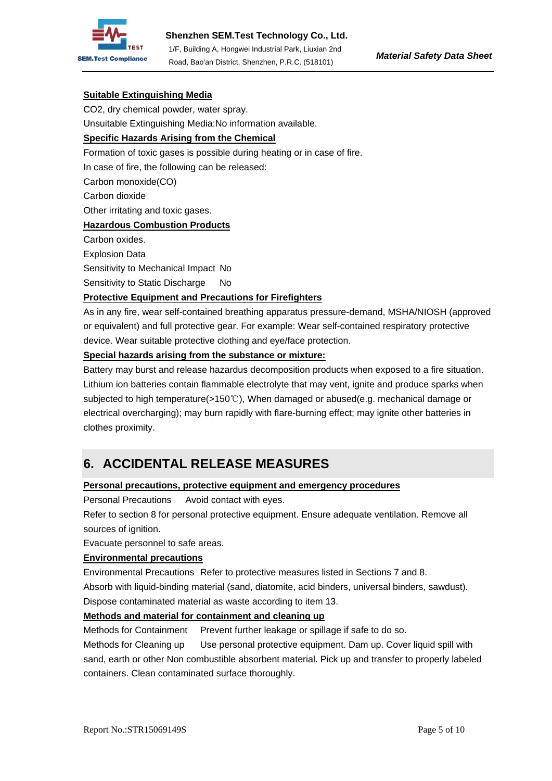

### **Suitable Extinguishing Media**

CO2, dry chemical powder, water spray.

Unsuitable Extinguishing Media:No information available.

#### **Specific Hazards Arising from the Chemical**

Formation of toxic gases is possible during heating or in case of fire.

In case of fire, the following can be released:

Carbon monoxide(CO)

Carbon dioxide

Other irritating and toxic gases.

#### **Hazardous Combustion Products**

Carbon oxides.

Explosion Data

Sensitivity to Mechanical Impact No

Sensitivity to Static Discharge No

### **Protective Equipment and Precautions for Firefighters**

As in any fire, wear self-contained breathing apparatus pressure-demand, MSHA/NIOSH (approved or equivalent) and full protective gear. For example: Wear self-contained respiratory protective device. Wear suitable protective clothing and eye/face protection.

#### **Special hazards arising from the substance or mixture:**

Battery may burst and release hazardus decomposition products when exposed to a fire situation. Lithium ion batteries contain flammable electrolyte that may vent, ignite and produce sparks when subjected to high temperature(>150℃), When damaged or abused(e.g. mechanical damage or electrical overcharging); may burn rapidly with flare-burning effect; may ignite other batteries in clothes proximity.

## **6. ACCIDENTAL RELEASE MEASURES**

#### **Personal precautions, protective equipment and emergency procedures**

Personal Precautions Avoid contact with eyes.

Refer to section 8 for personal protective equipment. Ensure adequate ventilation. Remove all sources of ignition.

Evacuate personnel to safe areas.

#### **Environmental precautions**

Environmental Precautions Refer to protective measures listed in Sections 7 and 8. Absorb with liquid-binding material (sand, diatomite, acid binders, universal binders, sawdust). Dispose contaminated material as waste according to item 13.

#### **Methods and material for containment and cleaning up**

Methods for Containment Prevent further leakage or spillage if safe to do so.

Methods for Cleaning up Use personal protective equipment. Dam up. Cover liquid spill with sand, earth or other Non combustible absorbent material. Pick up and transfer to properly labeled containers. Clean contaminated surface thoroughly.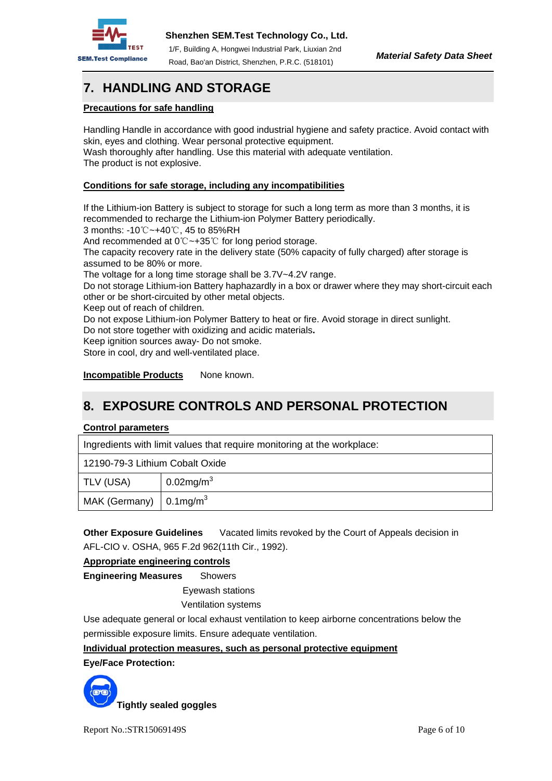

# **7. HANDLING AND STORAGE**

### **Precautions for safe handling**

Handling Handle in accordance with good industrial hygiene and safety practice. Avoid contact with skin, eyes and clothing. Wear personal protective equipment.

Wash thoroughly after handling. Use this material with adequate ventilation. The product is not explosive.

### **Conditions for safe storage, including any incompatibilities**

If the Lithium-ion Battery is subject to storage for such a long term as more than 3 months, it is recommended to recharge the Lithium-ion Polymer Battery periodically.

3 months: -10℃~+40℃, 45 to 85%RH

And recommended at 0℃~+35℃ for long period storage.

The capacity recovery rate in the delivery state (50% capacity of fully charged) after storage is assumed to be 80% or more.

The voltage for a long time storage shall be 3.7V~4.2V range.

Do not storage Lithium-ion Battery haphazardly in a box or drawer where they may short-circuit each other or be short-circuited by other metal objects.

Keep out of reach of children.

Do not expose Lithium-ion Polymer Battery to heat or fire. Avoid storage in direct sunlight.

Do not store together with oxidizing and acidic materials**.** 

Keep ignition sources away- Do not smoke.

Store in cool, dry and well-ventilated place.

**Incompatible Products** None known.

## **8. EXPOSURE CONTROLS AND PERSONAL PROTECTION**

#### **Control parameters**

Ingredients with limit values that require monitoring at the workplace:

12190-79-3 Lithium Cobalt Oxide

| TLV (USA)                                  | 0.02mg/m <sup>3</sup> |
|--------------------------------------------|-----------------------|
| MAK (Germany) $\vert$ 0.1mg/m <sup>3</sup> |                       |

**Other Exposure Guidelines** Vacated limits revoked by the Court of Appeals decision in AFL-CIO v. OSHA, 965 F.2d 962(11th Cir., 1992).

#### **Appropriate engineering controls**

**Engineering Measures** Showers

Eyewash stations

Ventilation systems

Use adequate general or local exhaust ventilation to keep airborne concentrations below the permissible exposure limits. Ensure adequate ventilation.

#### **Individual protection measures, such as personal protective equipment**

**Eye/Face Protection:** 

**Tightly sealed goggles**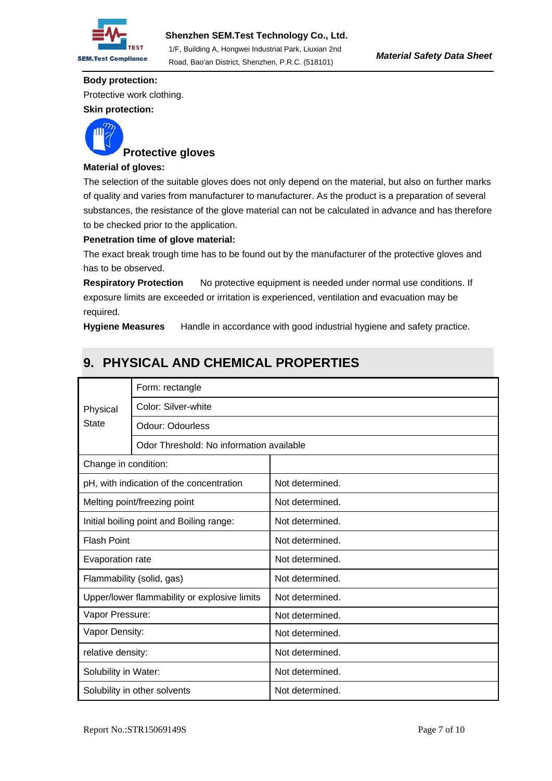

#### **Body protection:**

Protective work clothing.

**Skin protection:** 



## **Protective gloves**

### **Material of gloves:**

The selection of the suitable gloves does not only depend on the material, but also on further marks of quality and varies from manufacturer to manufacturer. As the product is a preparation of several substances, the resistance of the glove material can not be calculated in advance and has therefore to be checked prior to the application.

#### **Penetration time of glove material:**

The exact break trough time has to be found out by the manufacturer of the protective gloves and has to be observed.

**Respiratory Protection** No protective equipment is needed under normal use conditions. If exposure limits are exceeded or irritation is experienced, ventilation and evacuation may be required.

**Hygiene Measures** Handle in accordance with good industrial hygiene and safety practice.

# Physical **State** Form: rectangle Color: Silver-white Odour: Odourless Odor Threshold: No information available Change in condition:  $p$ H, with indication of the concentration  $\vert$  Not determined. Melting point/freezing point Not determined. Initial boiling point and Boiling range: | Not determined. Flash Point **Not determined.** Evaporation rate Not determined. Flammability (solid, gas) Not determined. Upper/lower flammability or explosive limits  $\parallel$  Not determined. Vapor Pressure: Not determined. Vapor Density:  $\vert$  Not determined. relative density:  $\vert$  Not determined. Solubility in Water:  $\vert$  Not determined. Solubility in other solvents  $\vert$  Not determined.

## **9. PHYSICAL AND CHEMICAL PROPERTIES**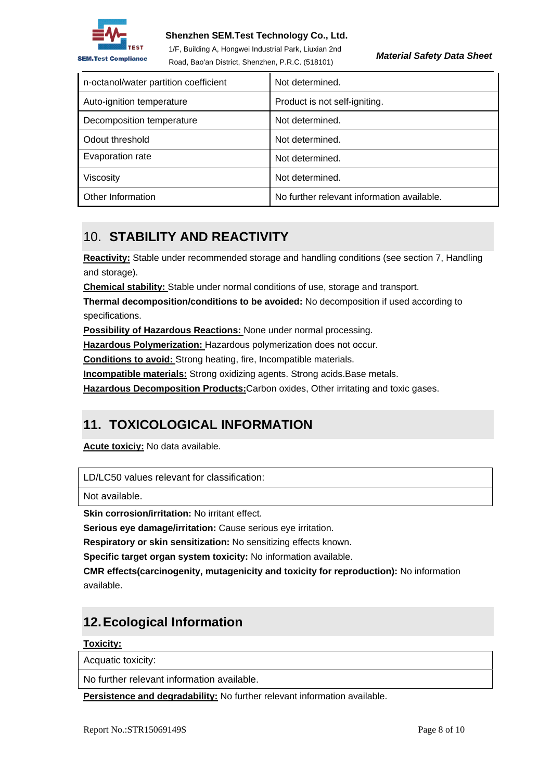

### **Shenzhen SEM.Test Technology Co., Ltd.**

1/F, Building A, Hongwei Industrial Park, Liuxian 2nd Road, Bao'an District, Shenzhen, P.R.C. (518101)

*Material Safety Data Sheet* 

| n-octanol/water partition coefficient | Not determined.                            |
|---------------------------------------|--------------------------------------------|
| Auto-ignition temperature             | Product is not self-igniting.              |
| Decomposition temperature             | Not determined.                            |
| Odout threshold                       | Not determined.                            |
| Evaporation rate                      | Not determined.                            |
| Viscosity                             | Not determined.                            |
| Other Information                     | No further relevant information available. |

## 10. **STABILITY AND REACTIVITY**

**Reactivity:** Stable under recommended storage and handling conditions (see section 7, Handling and storage).

**Chemical stability:** Stable under normal conditions of use, storage and transport.

**Thermal decomposition/conditions to be avoided:** No decomposition if used according to specifications.

**Possibility of Hazardous Reactions:** None under normal processing.

**Hazardous Polymerization:** Hazardous polymerization does not occur.

**Conditions to avoid:** Strong heating, fire, Incompatible materials.

**Incompatible materials:** Strong oxidizing agents. Strong acids.Base metals.

**Hazardous Decomposition Products:**Carbon oxides, Other irritating and toxic gases.

## **11. TOXICOLOGICAL INFORMATION**

**Acute toxiciy:** No data available.

LD/LC50 values relevant for classification:

Not available.

**Skin corrosion/irritation:** No irritant effect.

**Serious eye damage/irritation:** Cause serious eye irritation.

**Respiratory or skin sensitization:** No sensitizing effects known.

**Specific target organ system toxicity:** No information available.

**CMR effects(carcinogenity, mutagenicity and toxicity for reproduction):** No information available.

## **12. Ecological Information**

## **Toxicity:**

Acquatic toxicity:

No further relevant information available.

**Persistence and degradability:** No further relevant information available.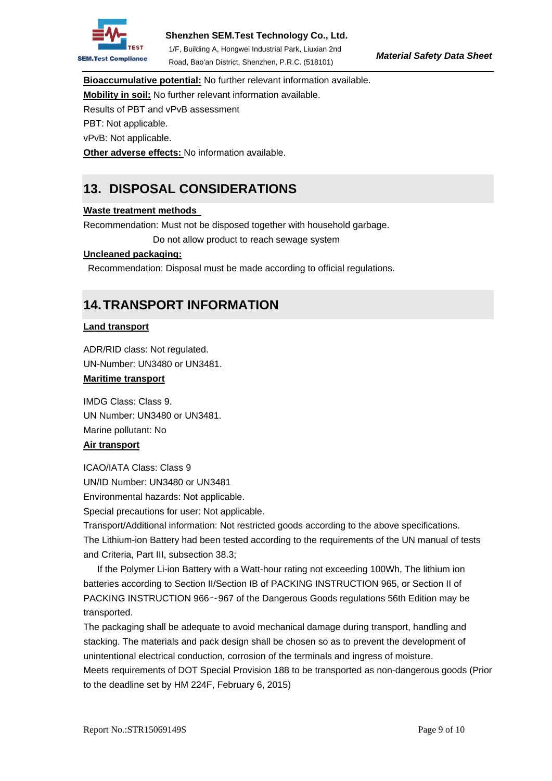

1/F, Building A, Hongwei Industrial Park, Liuxian 2nd Road, Bao'an District, Shenzhen, P.R.C. (518101)

**Bioaccumulative potential:** No further relevant information available.

**Mobility in soil:** No further relevant information available.

Results of PBT and vPvB assessment

PBT: Not applicable.

vPvB: Not applicable.

**Other adverse effects:** No information available.

## **13. DISPOSAL CONSIDERATIONS**

## **Waste treatment methods**

Recommendation: Must not be disposed together with household garbage.

Do not allow product to reach sewage system

### **Uncleaned packaging:**

Recommendation: Disposal must be made according to official regulations.

## **14. TRANSPORT INFORMATION**

### **Land transport**

ADR/RID class: Not regulated. UN-Number: UN3480 or UN3481. **Maritime transport**

IMDG Class: Class 9. UN Number: UN3480 or UN3481. Marine pollutant: No

## **Air transport**

ICAO/IATA Class: Class 9 UN/ID Number: UN3480 or UN3481 Environmental hazards: Not applicable.

Special precautions for user: Not applicable.

Transport/Additional information: Not restricted goods according to the above specifications. The Lithium-ion Battery had been tested according to the requirements of the UN manual of tests and Criteria, Part III, subsection 38.3;

 If the Polymer Li-ion Battery with a Watt-hour rating not exceeding 100Wh, The lithium ion batteries according to Section II/Section IB of PACKING INSTRUCTION 965, or Section II of PACKING INSTRUCTION 966~967 of the Dangerous Goods regulations 56th Edition may be transported.

The packaging shall be adequate to avoid mechanical damage during transport, handling and stacking. The materials and pack design shall be chosen so as to prevent the development of unintentional electrical conduction, corrosion of the terminals and ingress of moisture.

Meets requirements of DOT Special Provision 188 to be transported as non-dangerous goods (Prior to the deadline set by HM 224F, February 6, 2015)